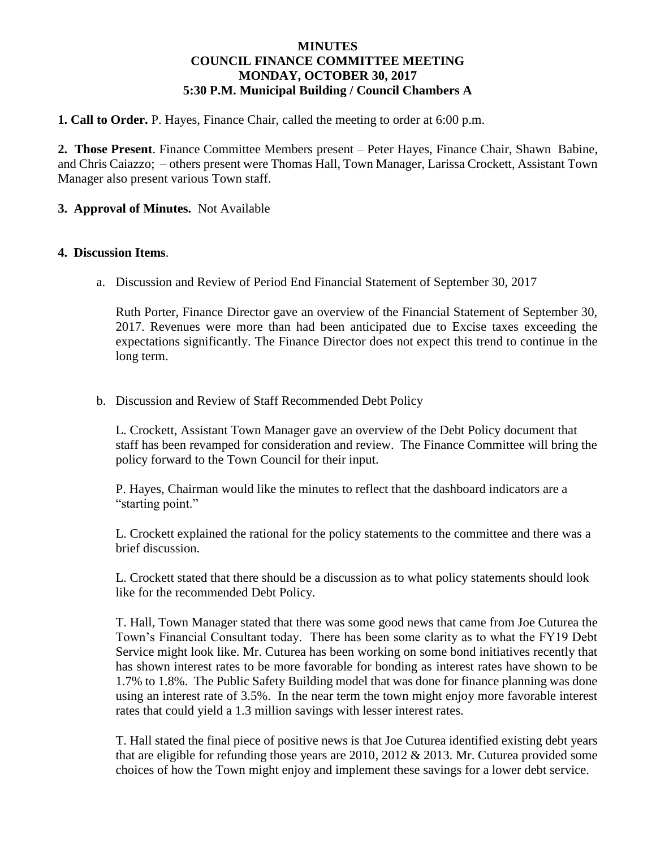# **MINUTES COUNCIL FINANCE COMMITTEE MEETING MONDAY, OCTOBER 30, 2017 5:30 P.M. Municipal Building / Council Chambers A**

**1. Call to Order.** P. Hayes, Finance Chair, called the meeting to order at 6:00 p.m.

**2. Those Present**. Finance Committee Members present – Peter Hayes, Finance Chair, Shawn Babine, and Chris Caiazzo; – others present were Thomas Hall, Town Manager, Larissa Crockett, Assistant Town Manager also present various Town staff.

# **3. Approval of Minutes.** Not Available

### **4. Discussion Items**.

a. Discussion and Review of Period End Financial Statement of September 30, 2017

Ruth Porter, Finance Director gave an overview of the Financial Statement of September 30, 2017. Revenues were more than had been anticipated due to Excise taxes exceeding the expectations significantly. The Finance Director does not expect this trend to continue in the long term.

b. Discussion and Review of Staff Recommended Debt Policy

L. Crockett, Assistant Town Manager gave an overview of the Debt Policy document that staff has been revamped for consideration and review. The Finance Committee will bring the policy forward to the Town Council for their input.

P. Hayes, Chairman would like the minutes to reflect that the dashboard indicators are a "starting point."

L. Crockett explained the rational for the policy statements to the committee and there was a brief discussion.

L. Crockett stated that there should be a discussion as to what policy statements should look like for the recommended Debt Policy.

T. Hall, Town Manager stated that there was some good news that came from Joe Cuturea the Town's Financial Consultant today. There has been some clarity as to what the FY19 Debt Service might look like. Mr. Cuturea has been working on some bond initiatives recently that has shown interest rates to be more favorable for bonding as interest rates have shown to be 1.7% to 1.8%. The Public Safety Building model that was done for finance planning was done using an interest rate of 3.5%. In the near term the town might enjoy more favorable interest rates that could yield a 1.3 million savings with lesser interest rates.

T. Hall stated the final piece of positive news is that Joe Cuturea identified existing debt years that are eligible for refunding those years are 2010, 2012 & 2013. Mr. Cuturea provided some choices of how the Town might enjoy and implement these savings for a lower debt service.